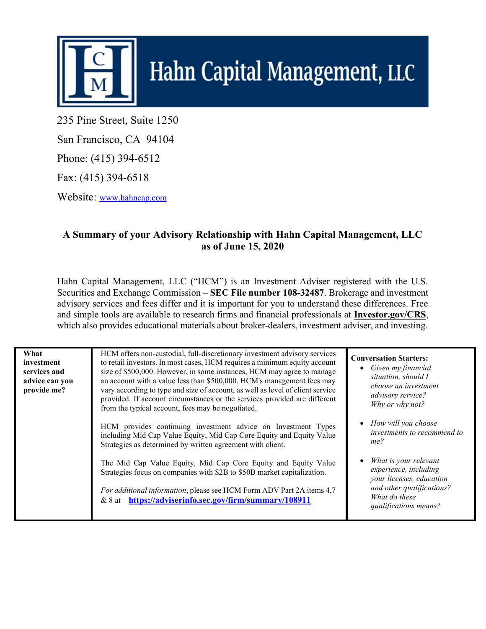

## Hahn Capital Management, LLC

235 Pine Street, Suite 1250

San Francisco, CA 94104

Phone: (415) 394-6512

Fax: (415) 394-6518

Website: www.hahncap.com

## A Summary of your Advisory Relationship with Hahn Capital Management, LLC as of June 15, 2020

Hahn Capital Management, LLC ("HCM") is an Investment Adviser registered with the U.S. Securities and Exchange Commission – SEC File number 108-32487. Brokerage and investment advisory services and fees differ and it is important for you to understand these differences. Free and simple tools are available to research firms and financial professionals at **Investor.gov/CRS**, which also provides educational materials about broker-dealers, investment adviser, and investing.

| What<br>investment<br>services and<br>advice can you<br>provide me? | HCM offers non-custodial, full-discretionary investment advisory services<br>to retail investors. In most cases, HCM requires a minimum equity account<br>size of \$500,000. However, in some instances, HCM may agree to manage<br>an account with a value less than \$500,000. HCM's management fees may<br>vary according to type and size of account, as well as level of client service<br>provided. If account circumstances or the services provided are different<br>from the typical account, fees may be negotiated. | <b>Conversation Starters:</b><br>$\bullet$ Given my financial<br>situation, should I<br>choose an investment<br>advisory service?<br>Why or why not? |
|---------------------------------------------------------------------|--------------------------------------------------------------------------------------------------------------------------------------------------------------------------------------------------------------------------------------------------------------------------------------------------------------------------------------------------------------------------------------------------------------------------------------------------------------------------------------------------------------------------------|------------------------------------------------------------------------------------------------------------------------------------------------------|
|                                                                     | HCM provides continuing investment advice on Investment Types<br>including Mid Cap Value Equity, Mid Cap Core Equity and Equity Value<br>Strategies as determined by written agreement with client.                                                                                                                                                                                                                                                                                                                            | • How will you choose<br>investments to recommend to<br>me?                                                                                          |
|                                                                     | The Mid Cap Value Equity, Mid Cap Core Equity and Equity Value<br>Strategies focus on companies with \$2B to \$50B market capitalization.<br>For additional information, please see HCM Form ADV Part 2A items 4,7<br>& 8 at - https://adviserinfo.sec.gov/firm/summary/108911                                                                                                                                                                                                                                                 | What is your relevant<br>experience, including<br>your licenses, education<br>and other qualifications?<br>What do these<br>qualifications means?    |